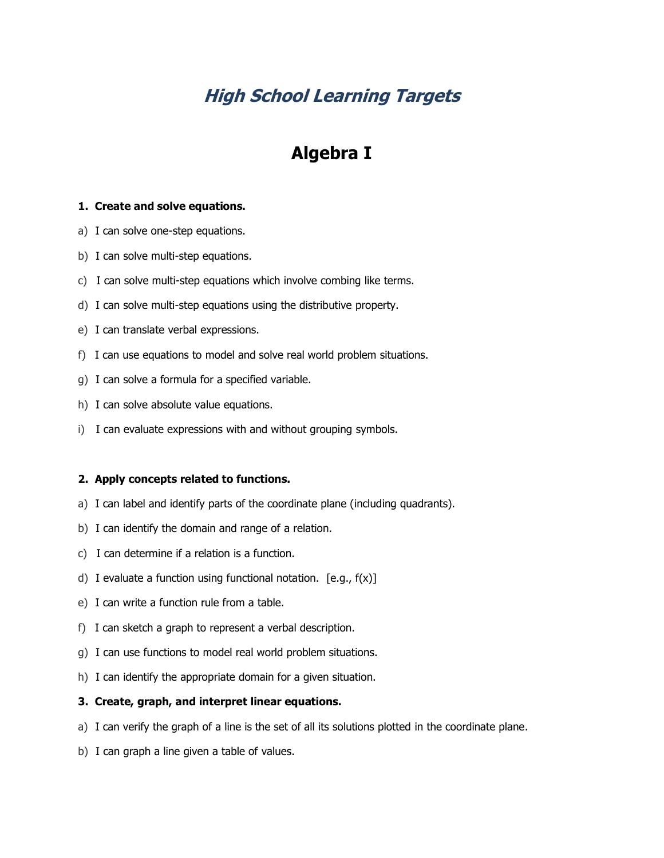# **High School Learning Targets**

# **Algebra I**

# **1. Create and solve equations.**

- a) I can solve one-step equations.
- b) I can solve multi-step equations.
- c) I can solve multi-step equations which involve combing like terms.
- d) I can solve multi-step equations using the distributive property.
- e) I can translate verbal expressions.
- f) I can use equations to model and solve real world problem situations.
- g) I can solve a formula for a specified variable.
- h) I can solve absolute value equations.
- i) I can evaluate expressions with and without grouping symbols.

## **2. Apply concepts related to functions.**

- a) I can label and identify parts of the coordinate plane (including quadrants).
- b) I can identify the domain and range of a relation.
- c) I can determine if a relation is a function.
- d) I evaluate a function using functional notation. [e.g., f(x)]
- e) I can write a function rule from a table.
- f) I can sketch a graph to represent a verbal description.
- g) I can use functions to model real world problem situations.
- h) I can identify the appropriate domain for a given situation.

#### **3. Create, graph, and interpret linear equations.**

- a) I can verify the graph of a line is the set of all its solutions plotted in the coordinate plane.
- b) I can graph a line given a table of values.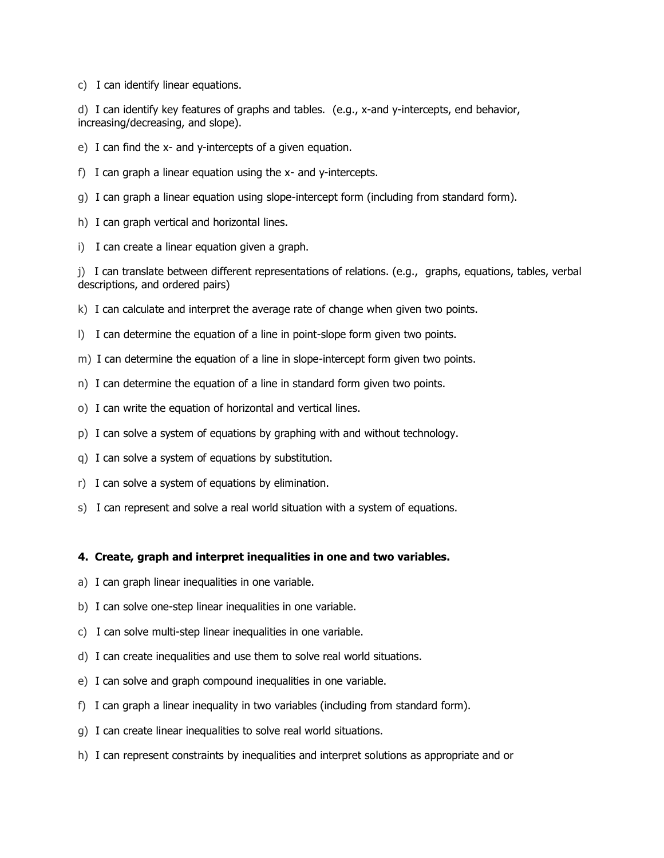c) I can identify linear equations.

d) I can identify key features of graphs and tables. (e.g., x-and y-intercepts, end behavior, increasing/decreasing, and slope).

- e) I can find the x- and y-intercepts of a given equation.
- f) I can graph a linear equation using the x- and y-intercepts.
- g) I can graph a linear equation using slope-intercept form (including from standard form).
- h) I can graph vertical and horizontal lines.
- i) I can create a linear equation given a graph.

j) I can translate between different representations of relations. (e.g., graphs, equations, tables, verbal descriptions, and ordered pairs)

- k) I can calculate and interpret the average rate of change when given two points.
- l) I can determine the equation of a line in point-slope form given two points.
- m) I can determine the equation of a line in slope-intercept form given two points.
- n) I can determine the equation of a line in standard form given two points.
- o) I can write the equation of horizontal and vertical lines.
- p) I can solve a system of equations by graphing with and without technology.
- q) I can solve a system of equations by substitution.
- r) I can solve a system of equations by elimination.
- s) I can represent and solve a real world situation with a system of equations.

## **4. Create, graph and interpret inequalities in one and two variables.**

- a) I can graph linear inequalities in one variable.
- b) I can solve one-step linear inequalities in one variable.
- c) I can solve multi-step linear inequalities in one variable.
- d) I can create inequalities and use them to solve real world situations.
- e) I can solve and graph compound inequalities in one variable.
- f) I can graph a linear inequality in two variables (including from standard form).
- g) I can create linear inequalities to solve real world situations.
- h) I can represent constraints by inequalities and interpret solutions as appropriate and or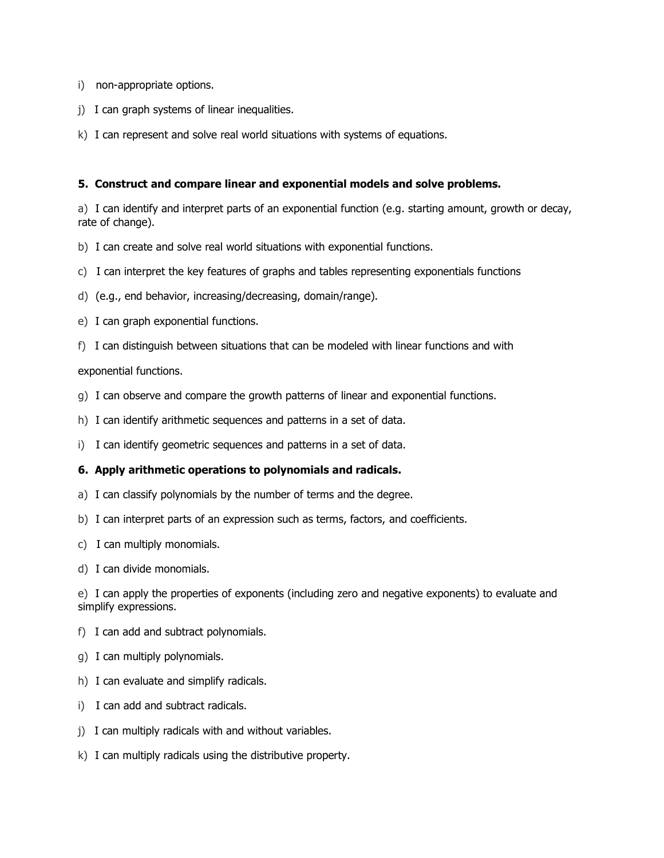- i) non-appropriate options.
- j) I can graph systems of linear inequalities.
- k) I can represent and solve real world situations with systems of equations.

## **5. Construct and compare linear and exponential models and solve problems.**

a) I can identify and interpret parts of an exponential function (e.g. starting amount, growth or decay, rate of change).

- b) I can create and solve real world situations with exponential functions.
- c) I can interpret the key features of graphs and tables representing exponentials functions
- d) (e.g., end behavior, increasing/decreasing, domain/range).
- e) I can graph exponential functions.
- f) I can distinguish between situations that can be modeled with linear functions and with

exponential functions.

- g) I can observe and compare the growth patterns of linear and exponential functions.
- h) I can identify arithmetic sequences and patterns in a set of data.
- i) I can identify geometric sequences and patterns in a set of data.

## **6. Apply arithmetic operations to polynomials and radicals.**

- a) I can classify polynomials by the number of terms and the degree.
- b) I can interpret parts of an expression such as terms, factors, and coefficients.
- c) I can multiply monomials.
- d) I can divide monomials.

e) I can apply the properties of exponents (including zero and negative exponents) to evaluate and simplify expressions.

- f) I can add and subtract polynomials.
- g) I can multiply polynomials.
- h) I can evaluate and simplify radicals.
- i) I can add and subtract radicals.
- j) I can multiply radicals with and without variables.
- k) I can multiply radicals using the distributive property.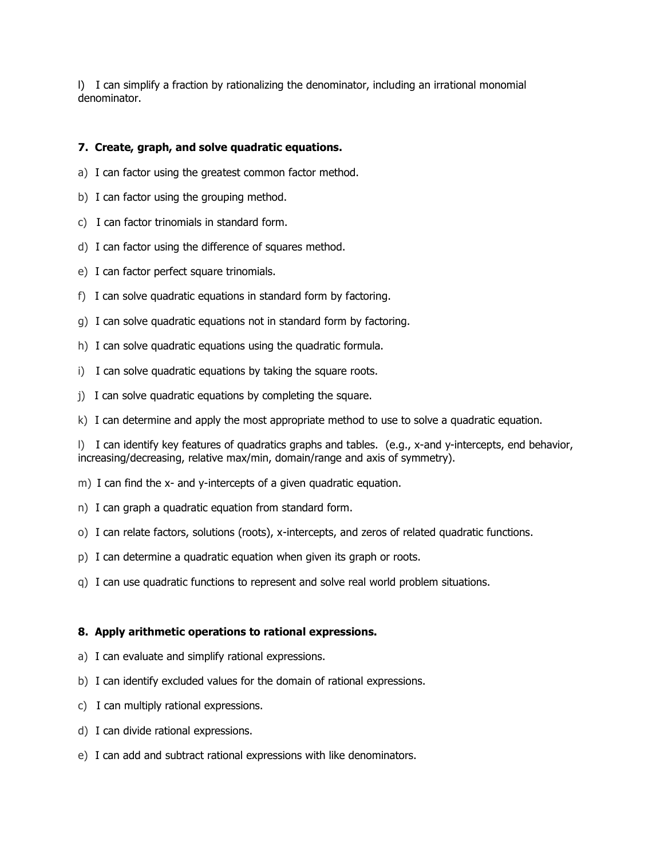l) I can simplify a fraction by rationalizing the denominator, including an irrational monomial denominator.

# **7. Create, graph, and solve quadratic equations.**

- a) I can factor using the greatest common factor method.
- b) I can factor using the grouping method.
- c) I can factor trinomials in standard form.
- d) I can factor using the difference of squares method.
- e) I can factor perfect square trinomials.
- f) I can solve quadratic equations in standard form by factoring.
- g) I can solve quadratic equations not in standard form by factoring.
- h) I can solve quadratic equations using the quadratic formula.
- i) I can solve quadratic equations by taking the square roots.
- j) I can solve quadratic equations by completing the square.
- k) I can determine and apply the most appropriate method to use to solve a quadratic equation.

l) I can identify key features of quadratics graphs and tables. (e.g., x-and y-intercepts, end behavior, increasing/decreasing, relative max/min, domain/range and axis of symmetry).

- m) I can find the x- and y-intercepts of a given quadratic equation.
- n) I can graph a quadratic equation from standard form.
- o) I can relate factors, solutions (roots), x-intercepts, and zeros of related quadratic functions.
- p) I can determine a quadratic equation when given its graph or roots.
- q) I can use quadratic functions to represent and solve real world problem situations.

## **8. Apply arithmetic operations to rational expressions.**

- a) I can evaluate and simplify rational expressions.
- b) I can identify excluded values for the domain of rational expressions.
- c) I can multiply rational expressions.
- d) I can divide rational expressions.
- e) I can add and subtract rational expressions with like denominators.